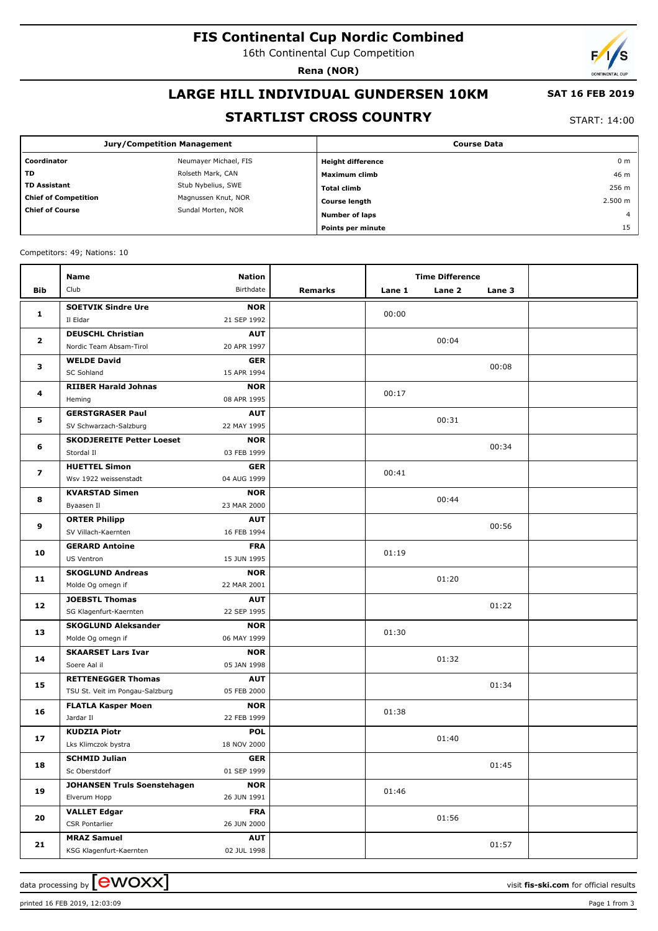# **FIS Continental Cup Nordic Combined**

16th Continental Cup Competition

**Rena (NOR)**

# **LARGE HILL INDIVIDUAL GUNDERSEN 10KM**

## **SAT 16 FEB 2019**

## **STARTLIST CROSS COUNTRY**

START: 14:00

|                                              | <b>Jury/Competition Management</b> | <b>Course Data</b>       |                |  |  |
|----------------------------------------------|------------------------------------|--------------------------|----------------|--|--|
| Coordinator                                  | Neumayer Michael, FIS              | <b>Height difference</b> | 0 <sub>m</sub> |  |  |
| <b>TD</b>                                    | Rolseth Mark, CAN                  | Maximum climb            | 46 m           |  |  |
| <b>TD Assistant</b>                          | Stub Nybelius, SWE                 | <b>Total climb</b>       | 256 m          |  |  |
| <b>Chief of Competition</b>                  | Magnussen Knut, NOR                | <b>Course length</b>     | 2.500 m        |  |  |
| <b>Chief of Course</b><br>Sundal Morten, NOR |                                    | <b>Number of laps</b>    | $\overline{4}$ |  |  |
|                                              |                                    | Points per minute        | 15             |  |  |

Competitors: 49; Nations: 10

|                         | <b>Name</b>                                 | <b>Nation</b>             |         | <b>Time Difference</b> |        |        |  |
|-------------------------|---------------------------------------------|---------------------------|---------|------------------------|--------|--------|--|
| <b>Bib</b>              | Club                                        | Birthdate                 | Remarks | Lane 1                 | Lane 2 | Lane 3 |  |
|                         | <b>SOETVIK Sindre Ure</b>                   | <b>NOR</b>                |         |                        |        |        |  |
| $\mathbf{1}$            | Il Eldar                                    | 21 SEP 1992               |         | 00:00                  |        |        |  |
| $\mathbf{2}$            | <b>DEUSCHL Christian</b>                    | <b>AUT</b>                |         |                        |        |        |  |
|                         | Nordic Team Absam-Tirol                     | 20 APR 1997               |         |                        | 00:04  |        |  |
| 3                       | <b>WELDE David</b>                          | <b>GER</b>                |         |                        |        | 00:08  |  |
|                         | <b>SC Sohland</b>                           | 15 APR 1994               |         |                        |        |        |  |
| 4                       | <b>RIIBER Harald Johnas</b>                 | <b>NOR</b>                |         | 00:17                  |        |        |  |
|                         | Heming                                      | 08 APR 1995               |         |                        |        |        |  |
| 5                       | <b>GERSTGRASER Paul</b>                     | <b>AUT</b>                |         |                        | 00:31  |        |  |
|                         | SV Schwarzach-Salzburg                      | 22 MAY 1995               |         |                        |        |        |  |
| 6                       | <b>SKODJEREITE Petter Loeset</b>            | <b>NOR</b>                |         |                        |        | 00:34  |  |
|                         | Stordal II                                  | 03 FEB 1999               |         |                        |        |        |  |
| $\overline{\mathbf{z}}$ | <b>HUETTEL Simon</b>                        | <b>GER</b>                |         | 00:41                  |        |        |  |
|                         | Wsv 1922 weissenstadt                       | 04 AUG 1999               |         |                        |        |        |  |
| 8                       | <b>KVARSTAD Simen</b>                       | <b>NOR</b>                |         |                        | 00:44  |        |  |
|                         | Byaasen Il                                  | 23 MAR 2000               |         |                        |        |        |  |
| 9                       | <b>ORTER Philipp</b><br>SV Villach-Kaernten | <b>AUT</b><br>16 FEB 1994 |         |                        |        | 00:56  |  |
|                         |                                             | <b>FRA</b>                |         |                        |        |        |  |
| 10                      | <b>GERARD Antoine</b><br>US Ventron         | 15 JUN 1995               |         | 01:19                  |        |        |  |
|                         | <b>SKOGLUND Andreas</b>                     | <b>NOR</b>                |         |                        |        |        |  |
| 11                      | Molde Og omegn if                           | 22 MAR 2001               |         |                        | 01:20  |        |  |
|                         | <b>JOEBSTL Thomas</b>                       | <b>AUT</b>                |         |                        |        |        |  |
| 12                      | SG Klagenfurt-Kaernten                      | 22 SEP 1995               |         |                        |        | 01:22  |  |
|                         | <b>SKOGLUND Aleksander</b>                  | <b>NOR</b>                |         |                        |        |        |  |
| 13                      | Molde Og omegn if                           | 06 MAY 1999               |         | 01:30                  |        |        |  |
|                         | <b>SKAARSET Lars Ivar</b>                   | <b>NOR</b>                |         |                        |        |        |  |
| 14                      | Soere Aal il                                | 05 JAN 1998               |         |                        | 01:32  |        |  |
|                         | <b>RETTENEGGER Thomas</b>                   | <b>AUT</b>                |         |                        |        |        |  |
| 15                      | TSU St. Veit im Pongau-Salzburg             | 05 FEB 2000               |         |                        |        | 01:34  |  |
| 16                      | <b>FLATLA Kasper Moen</b>                   | <b>NOR</b>                |         | 01:38                  |        |        |  |
|                         | Jardar II                                   | 22 FEB 1999               |         |                        |        |        |  |
|                         | <b>KUDZIA Piotr</b>                         | <b>POL</b>                |         |                        | 01:40  |        |  |
| 17                      | Lks Klimczok bystra                         | 18 NOV 2000               |         |                        |        |        |  |
| 18                      | <b>SCHMID Julian</b>                        | <b>GER</b>                |         |                        |        | 01:45  |  |
|                         | Sc Oberstdorf                               | 01 SEP 1999               |         |                        |        |        |  |
| 19                      | <b>JOHANSEN Truls Soenstehagen</b>          | <b>NOR</b>                |         | 01:46                  |        |        |  |
|                         | Elverum Hopp                                | 26 JUN 1991               |         |                        |        |        |  |
| 20                      | <b>VALLET Edgar</b>                         | <b>FRA</b>                |         |                        | 01:56  |        |  |
|                         | CSR Pontarlier                              | 26 JUN 2000               |         |                        |        |        |  |
| 21                      | <b>MRAZ Samuel</b>                          | <b>AUT</b>                |         |                        |        | 01:57  |  |
|                         | KSG Klagenfurt-Kaernten                     | 02 JUL 1998               |         |                        |        |        |  |

printed 16 FEB 2019, 12:03:09 Page 1 from 3

data processing by **CWOXX**  $\blacksquare$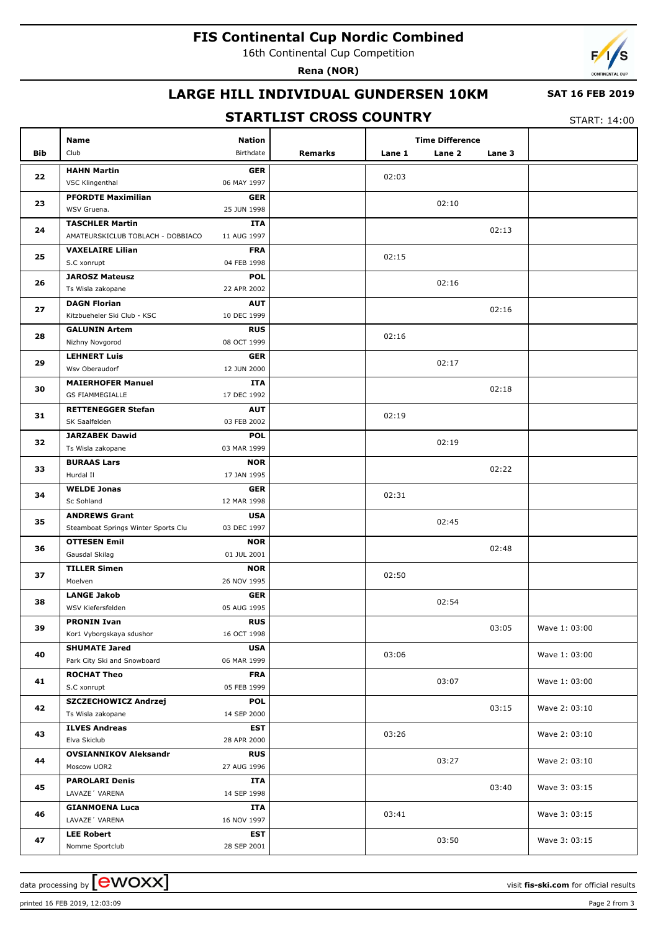# **FIS Continental Cup Nordic Combined**

16th Continental Cup Competition

**Rena (NOR)**



## **LARGE HILL INDIVIDUAL GUNDERSEN 10KM**

### **SAT 16 FEB 2019**

## **STARTLIST CROSS COUNTRY**

START: 14:00

| Bib | Name<br>Club                             | <b>Nation</b><br>Birthdate | Remarks | Lane 1 | <b>Time Difference</b><br>Lane 2 | Lane 3 |               |
|-----|------------------------------------------|----------------------------|---------|--------|----------------------------------|--------|---------------|
|     | <b>HAHN Martin</b>                       | <b>GER</b>                 |         |        |                                  |        |               |
| 22  | VSC Klingenthal                          | 06 MAY 1997                |         | 02:03  |                                  |        |               |
| 23  | <b>PFORDTE Maximilian</b>                | <b>GER</b>                 |         |        | 02:10                            |        |               |
|     | WSV Gruena.                              | 25 JUN 1998                |         |        |                                  |        |               |
| 24  | <b>TASCHLER Martin</b>                   | ITA                        |         |        |                                  | 02:13  |               |
|     | AMATEURSKICLUB TOBLACH - DOBBIACO        | 11 AUG 1997                |         |        |                                  |        |               |
| 25  | <b>VAXELAIRE Lilian</b>                  | <b>FRA</b>                 |         | 02:15  |                                  |        |               |
|     | S.C xonrupt                              | 04 FEB 1998                |         |        |                                  |        |               |
| 26  | <b>JAROSZ Mateusz</b>                    | <b>POL</b>                 |         |        | 02:16                            |        |               |
|     | Ts Wisla zakopane<br><b>DAGN Florian</b> | 22 APR 2002<br><b>AUT</b>  |         |        |                                  |        |               |
| 27  | Kitzbueheler Ski Club - KSC              | 10 DEC 1999                |         |        |                                  | 02:16  |               |
|     | <b>GALUNIN Artem</b>                     | <b>RUS</b>                 |         |        |                                  |        |               |
| 28  | Nizhny Novgorod                          | 08 OCT 1999                |         | 02:16  |                                  |        |               |
|     | <b>LEHNERT Luis</b>                      | <b>GER</b>                 |         |        |                                  |        |               |
| 29  | Wsv Oberaudorf                           | 12 JUN 2000                |         |        | 02:17                            |        |               |
|     | <b>MAIERHOFER Manuel</b>                 | ITA                        |         |        |                                  |        |               |
| 30  | <b>GS FIAMMEGIALLE</b>                   | 17 DEC 1992                |         |        |                                  | 02:18  |               |
|     | <b>RETTENEGGER Stefan</b>                | <b>AUT</b>                 |         |        |                                  |        |               |
| 31  | SK Saalfelden                            | 03 FEB 2002                |         | 02:19  |                                  |        |               |
|     | <b>JARZABEK Dawid</b>                    | <b>POL</b>                 |         |        |                                  |        |               |
| 32  | Ts Wisla zakopane                        | 03 MAR 1999                |         |        | 02:19                            |        |               |
| 33  | <b>BURAAS Lars</b>                       | <b>NOR</b>                 |         |        |                                  | 02:22  |               |
|     | Hurdal II                                | 17 JAN 1995                |         |        |                                  |        |               |
| 34  | <b>WELDE Jonas</b>                       | <b>GER</b>                 |         | 02:31  |                                  |        |               |
|     | Sc Sohland                               | 12 MAR 1998                |         |        |                                  |        |               |
| 35  | <b>ANDREWS Grant</b>                     | <b>USA</b>                 |         |        | 02:45                            |        |               |
|     | Steamboat Springs Winter Sports Clu      | 03 DEC 1997                |         |        |                                  |        |               |
| 36  | <b>OTTESEN Emil</b>                      | <b>NOR</b>                 |         |        |                                  | 02:48  |               |
|     | Gausdal Skilag                           | 01 JUL 2001                |         |        |                                  |        |               |
| 37  | <b>TILLER Simen</b>                      | <b>NOR</b>                 |         | 02:50  |                                  |        |               |
|     | Moelven                                  | 26 NOV 1995                |         |        |                                  |        |               |
| 38  | <b>LANGE Jakob</b><br>WSV Kiefersfelden  | <b>GER</b><br>05 AUG 1995  |         |        | 02:54                            |        |               |
|     | <b>PRONIN Ivan</b>                       | RUS                        |         |        |                                  |        |               |
| 39  | Kor1 Vyborgskaya sdushor                 | 16 OCT 1998                |         |        |                                  | 03:05  | Wave 1: 03:00 |
|     | <b>SHUMATE Jared</b>                     | <b>USA</b>                 |         |        |                                  |        |               |
| 40  | Park City Ski and Snowboard              | 06 MAR 1999                |         | 03:06  |                                  |        | Wave 1: 03:00 |
|     | <b>ROCHAT Theo</b>                       | <b>FRA</b>                 |         |        |                                  |        |               |
| 41  | S.C xonrupt                              | 05 FEB 1999                |         |        | 03:07                            |        | Wave 1: 03:00 |
|     | SZCZECHOWICZ Andrzej                     | <b>POL</b>                 |         |        |                                  |        |               |
| 42  | Ts Wisla zakopane                        | 14 SEP 2000                |         |        |                                  | 03:15  | Wave 2: 03:10 |
| 43  | <b>ILVES Andreas</b>                     | <b>EST</b>                 |         |        |                                  |        |               |
|     | Elva Skiclub                             | 28 APR 2000                |         | 03:26  |                                  |        | Wave 2: 03:10 |
| 44  | <b>OVSIANNIKOV Aleksandr</b>             | <b>RUS</b>                 |         |        |                                  |        |               |
|     | Moscow UOR2                              | 27 AUG 1996                |         |        | 03:27                            |        | Wave 2: 03:10 |
|     | <b>PAROLARI Denis</b>                    | ITA                        |         |        |                                  |        |               |
| 45  | LAVAZE' VARENA                           | 14 SEP 1998                |         |        |                                  | 03:40  | Wave 3: 03:15 |
| 46  | <b>GIANMOENA Luca</b>                    | ITA                        |         | 03:41  |                                  |        | Wave 3: 03:15 |
|     | LAVAZE 'VARENA                           | 16 NOV 1997                |         |        |                                  |        |               |
| 47  | <b>LEE Robert</b>                        | <b>EST</b>                 |         |        | 03:50                            |        | Wave 3: 03:15 |
|     | Nomme Sportclub                          | 28 SEP 2001                |         |        |                                  |        |               |

printed 16 FEB 2019, 12:03:09 Page 2 from 3

data processing by **CWOXX** and  $\overline{A}$  wisit **fis-ski.com** for official results